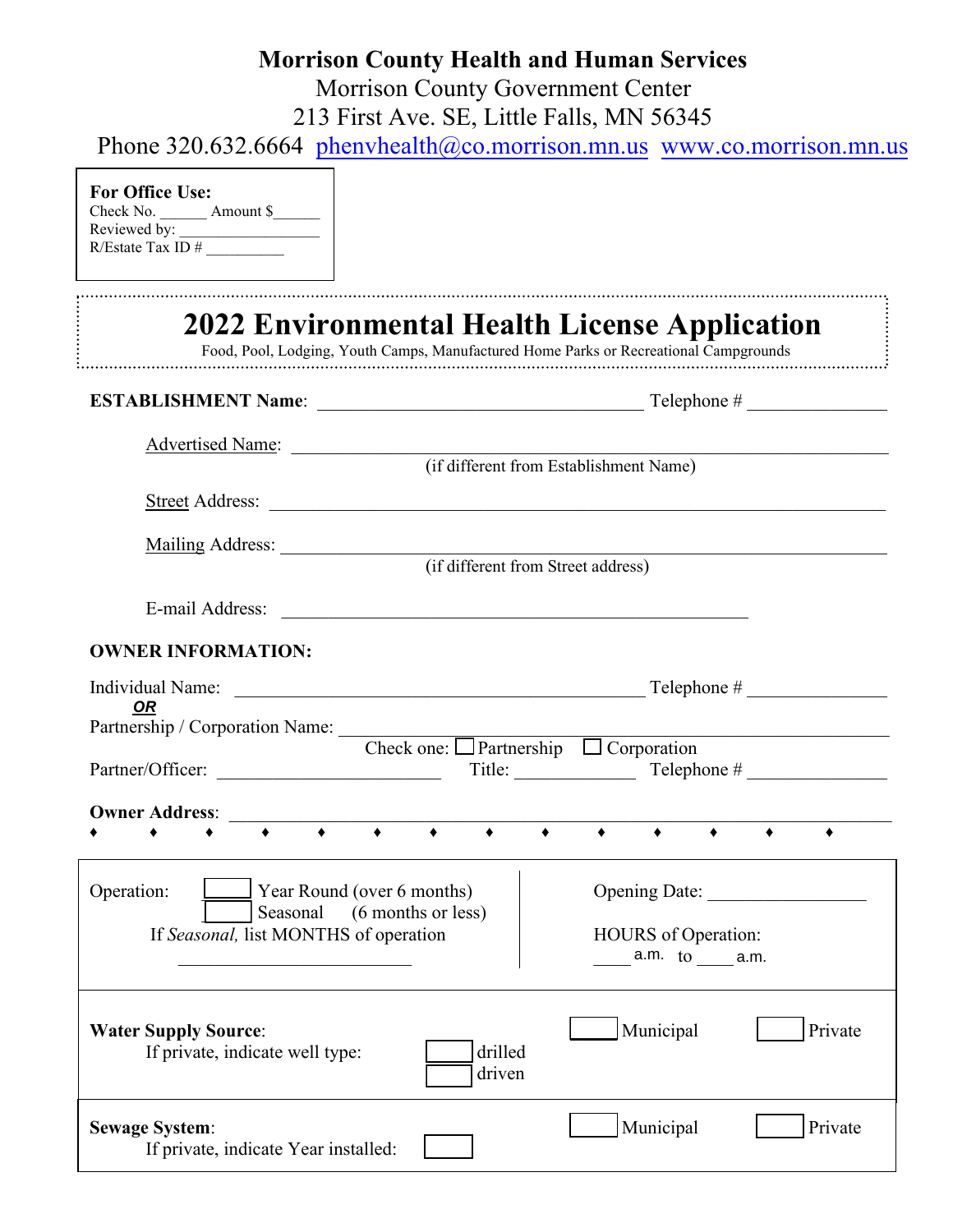# **Morrison County Health and Human Services**

Morrison County Government Center 213 First Ave. SE, Little Falls, MN 56345

Phone 320.632.6664 [phenvhealth@co.morrison.mn.us](mailto:phenvhealth@co.mmorrison.mn.us) [www.co.morrison.mn.us](http://www.co.morrison.mn.us/)

### **For Office Use:**

Check No. \_\_\_\_\_\_\_ Amount \$ Reviewed by: \_\_\_\_\_\_\_\_\_\_\_\_\_\_\_\_\_\_  $R/Estate Tax ID#$ 

|                                                                                                                                 | 2022 Environmental Health License Application<br>Food, Pool, Lodging, Youth Camps, Manufactured Home Parks or Recreational Campgrounds |
|---------------------------------------------------------------------------------------------------------------------------------|----------------------------------------------------------------------------------------------------------------------------------------|
|                                                                                                                                 |                                                                                                                                        |
| Advertised Name:                                                                                                                | (if different from Establishment Name)                                                                                                 |
|                                                                                                                                 |                                                                                                                                        |
|                                                                                                                                 | Mailing Address: (if different from Street address)                                                                                    |
|                                                                                                                                 |                                                                                                                                        |
| <b>OWNER INFORMATION:</b>                                                                                                       |                                                                                                                                        |
| <b>OR</b>                                                                                                                       |                                                                                                                                        |
| Partnership / Corporation Name: $\frac{C}{C}$ Check one: $\Box$ Partnership $\Box$ Corporation                                  |                                                                                                                                        |
| Partner/Officer:                                                                                                                | Title: Telephone #                                                                                                                     |
| <b>Owner Address:</b><br>$\bullet$                                                                                              | $\blacklozenge$                                                                                                                        |
| Operation:<br>$\blacksquare$ Year Round (over 6 months)<br>Seasonal (6 months or less)<br>If Seasonal, list MONTHS of operation | Opening Date:<br><b>HOURS</b> of Operation:<br>$a.m.$ to $a.m.$                                                                        |
| <b>Water Supply Source:</b><br>If private, indicate well type:                                                                  | Municipal<br>Private<br>drilled<br>driven                                                                                              |
| <b>Sewage System:</b><br>If private, indicate Year installed:                                                                   | Municipal<br>Private                                                                                                                   |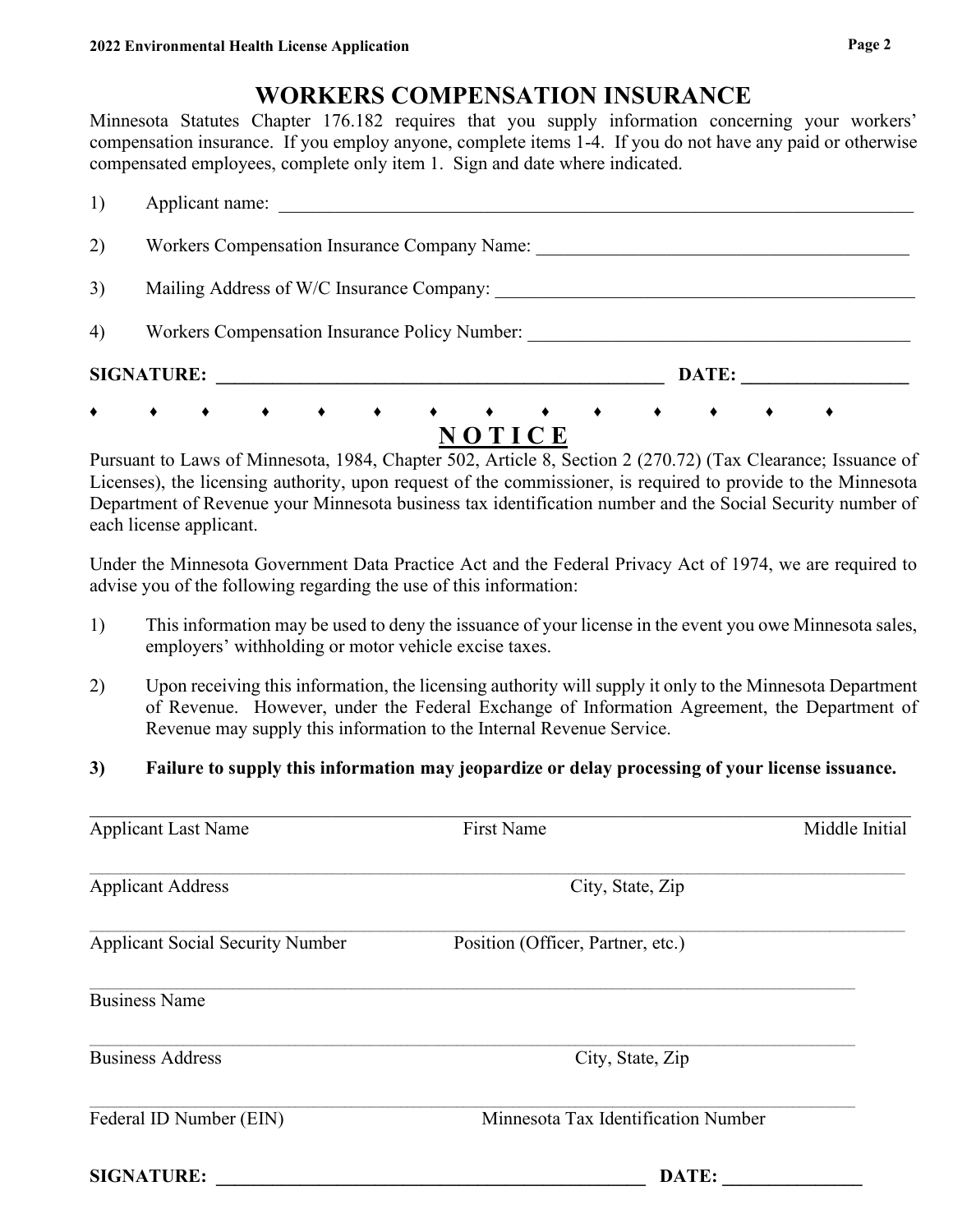# **WORKERS COMPENSATION INSURANCE**

Minnesota Statutes Chapter 176.182 requires that you supply information concerning your workers' compensation insurance. If you employ anyone, complete items 1-4. If you do not have any paid or otherwise compensated employees, complete only item 1. Sign and date where indicated.

| $\bullet$ | .<br>$\bullet$ $\bullet$<br>$\rightarrow$<br>$\bullet$<br>NOTICE |
|-----------|------------------------------------------------------------------|
|           | <b>SIGNATURE:</b><br>DATE:                                       |
| 4)        | Workers Compensation Insurance Policy Number:                    |
| 3)        | Mailing Address of W/C Insurance Company:                        |
| 2)        | Workers Compensation Insurance Company Name:                     |
| 1)        | Applicant name:                                                  |

Pursuant to Laws of Minnesota, 1984, Chapter 502, Article 8, Section 2 (270.72) (Tax Clearance; Issuance of Licenses), the licensing authority, upon request of the commissioner, is required to provide to the Minnesota Department of Revenue your Minnesota business tax identification number and the Social Security number of each license applicant.

Under the Minnesota Government Data Practice Act and the Federal Privacy Act of 1974, we are required to advise you of the following regarding the use of this information:

- 1) This information may be used to deny the issuance of your license in the event you owe Minnesota sales, employers' withholding or motor vehicle excise taxes.
- 2) Upon receiving this information, the licensing authority will supply it only to the Minnesota Department of Revenue. However, under the Federal Exchange of Information Agreement, the Department of Revenue may supply this information to the Internal Revenue Service.

## **3) Failure to supply this information may jeopardize or delay processing of your license issuance.**

| <b>Applicant Last Name</b>              | <b>First Name</b>                   | Middle Initial |
|-----------------------------------------|-------------------------------------|----------------|
| <b>Applicant Address</b>                | City, State, Zip                    |                |
| <b>Applicant Social Security Number</b> | Position (Officer, Partner, etc.)   |                |
| <b>Business Name</b>                    |                                     |                |
| <b>Business Address</b>                 | City, State, Zip                    |                |
| Federal ID Number (EIN)                 | Minnesota Tax Identification Number |                |
| <b>SIGNATURE:</b>                       | DATE:                               |                |